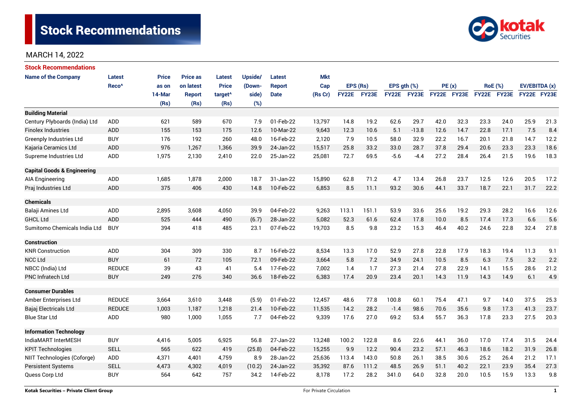

| <b>Stock Recommendations</b>           |                   |              |                 |                     |                                                                                              |               |            |              |       |                  |                                                      |             |      |                |      |               |      |
|----------------------------------------|-------------------|--------------|-----------------|---------------------|----------------------------------------------------------------------------------------------|---------------|------------|--------------|-------|------------------|------------------------------------------------------|-------------|------|----------------|------|---------------|------|
| <b>Name of the Company</b>             | <b>Latest</b>     | <b>Price</b> | <b>Price as</b> | <b>Latest</b>       | Upside/                                                                                      | <b>Latest</b> | <b>Mkt</b> |              |       |                  |                                                      |             |      |                |      |               |      |
|                                        | Reco <sup>^</sup> | as on        | on latest       | <b>Price</b>        | (Down-                                                                                       | <b>Report</b> | Cap        | EPS (Rs)     |       | EPS $gth$ $(\%)$ |                                                      | PE(x)       |      | <b>RoE</b> (%) |      | EV/EBITDA (x) |      |
|                                        |                   | 14-Mar       | <b>Report</b>   | target <sup>^</sup> | side)                                                                                        | <b>Date</b>   | (Rs Cr)    | <b>FY22E</b> | FY23E | FY22E            | FY23E                                                | FY22E FY23E |      | FY22E FY23E    |      | FY22E FY23E   |      |
|                                        |                   | (Rs)         | (Rs)            | (Rs)                | (%)                                                                                          |               |            |              |       |                  |                                                      |             |      |                |      |               |      |
| <b>Building Material</b>               |                   |              |                 |                     |                                                                                              |               |            |              |       |                  |                                                      |             |      |                |      |               |      |
| Century Plyboards (India) Ltd          | <b>ADD</b>        | 621          | 589             | 670                 | 7.9                                                                                          | 01-Feb-22     | 13,797     | 14.8         | 19.2  | 62.6             | 29.7                                                 | 42.0        | 32.3 | 23.3           | 24.0 | 25.9          | 21.3 |
| <b>Finolex Industries</b>              | <b>ADD</b>        | 155          | 153             | 175                 | 12.6                                                                                         | 10-Mar-22     | 9,643      | 12.3         | 10.6  | 5.1              | $-13.8$                                              | 12.6        | 14.7 | 22.8           | 17.1 | 7.5           | 8.4  |
| <b>Greenply Industries Ltd</b>         | <b>BUY</b>        | 176          | 192             | 260                 | 48.0                                                                                         | 16-Feb-22     | 2,120      | 7.9          | 10.5  | 58.0             | 32.9                                                 | 22.2        | 16.7 | 20.1           | 21.8 | 14.7          | 12.2 |
| Kajaria Ceramics Ltd                   | <b>ADD</b>        | 976          | 1,267           | 1,366               | 39.9                                                                                         | 24-Jan-22     | 15,517     | 25.8         | 33.2  | 33.0             | 28.7                                                 | 37.8        | 29.4 | 20.6           | 23.3 | 23.3          | 18.6 |
| Supreme Industries Ltd                 | <b>ADD</b>        | 1,975        | 2,130           | 2,410               | 22.0                                                                                         | 25-Jan-22     | 25,081     | 72.7         | 69.5  | $-5.6$           | $-4.4$                                               | 27.2        | 28.4 | 26.4           | 21.5 | 19.6          | 18.3 |
| <b>Capital Goods &amp; Engineering</b> |                   |              |                 |                     |                                                                                              |               |            |              |       |                  |                                                      |             |      |                |      |               |      |
| AIA Engineering                        | <b>ADD</b>        | 1,685        | 1,878           | 2,000               | 18.7                                                                                         | 31-Jan-22     | 15,890     | 62.8         | 71.2  | 4.7              | 13.4                                                 | 26.8        | 23.7 | 12.5           | 12.6 | 20.5          | 17.2 |
| Praj Industries Ltd                    | <b>ADD</b>        | 375          | 406             | 430                 | 14.8                                                                                         | 10-Feb-22     | 6,853      | 8.5          | 11.1  | 93.2             | 30.6                                                 | 44.1        | 33.7 | 18.7           | 22.1 | 31.7          | 22.2 |
| <b>Chemicals</b>                       |                   |              |                 |                     |                                                                                              |               |            |              |       |                  |                                                      |             |      |                |      |               |      |
| Balaji Amines Ltd                      | ADD               | 2,895        | 3,608           | 4,050               | 39.9                                                                                         | 04-Feb-22     | 9,263      | 113.1        | 151.1 | 53.9             | 33.6                                                 | 25.6        | 19.2 | 29.3           | 28.2 | 16.6          | 12.6 |
| <b>GHCL Ltd</b>                        | <b>ADD</b>        | 525          | 444             | 490                 | (6.7)                                                                                        | 28-Jan-22     | 5,082      | 52.3         | 61.6  | 62.4             | 17.8                                                 | 10.0        | 8.5  | 17.4           | 17.3 | 6.6           | 5.6  |
| Sumitomo Chemicals India Ltd           | <b>BUY</b>        | 394          | 418             | 485                 | 23.1                                                                                         | 07-Feb-22     | 19,703     | 8.5          | 9.8   | 23.2             | 15.3                                                 | 46.4        | 40.2 | 24.6           | 22.8 | 32.4          | 27.8 |
| <b>Construction</b>                    |                   |              |                 |                     |                                                                                              |               |            |              |       |                  |                                                      |             |      |                |      |               |      |
| <b>KNR Construction</b>                | ADD               | 304          | 309             | 330                 | 8.7                                                                                          | 16-Feb-22     | 8,534      | 13.3         | 17.0  | 52.9             | 27.8                                                 | 22.8        | 17.9 | 18.3           | 19.4 | 11.3          | 9.1  |
| <b>NCC Ltd</b>                         | <b>BUY</b>        | 61           | 72              | 105                 | 72.1                                                                                         | 09-Feb-22     | 3,664      | 5.8          | 7.2   | 34.9             | 24.1                                                 | 10.5        | 8.5  | 6.3            | 7.5  | 3.2           | 2.2  |
| NBCC (India) Ltd                       | <b>REDUCE</b>     | 39           | 43              | 41                  | 5.4                                                                                          | 17-Feb-22     | 7,002      | 1.4          | 1.7   | 27.3             | 21.4                                                 | 27.8        | 22.9 | 14.1           | 15.5 | 28.6          | 21.2 |
| PNC Infratech Ltd                      | <b>BUY</b>        | 249          | 276             | 340                 | 36.6                                                                                         | 18-Feb-22     | 6,383      | 17.4         | 20.9  | 23.4             | 20.1                                                 | 14.3        | 11.9 | 14.3           | 14.9 | 6.1           | 4.9  |
| <b>Consumer Durables</b>               |                   |              |                 |                     |                                                                                              |               |            |              |       |                  |                                                      |             |      |                |      |               |      |
| Amber Enterprises Ltd                  | <b>REDUCE</b>     | 3,664        | 3,610           | 3,448               | (5.9)                                                                                        | 01-Feb-22     | 12,457     | 48.6         | 77.8  | 100.8            | 60.1                                                 | 75.4        | 47.1 | 9.7            | 14.0 | 37.5          | 25.3 |
| Bajaj Electricals Ltd                  | <b>REDUCE</b>     | 1,003        | 1,187           | 1,218               | 21.4                                                                                         | 10-Feb-22     | 11,535     | 14.2         | 28.2  | $-1.4$           | 98.6                                                 | 70.6        | 35.6 | 9.8            | 17.3 | 41.3          | 23.7 |
| <b>Blue Star Ltd</b>                   | <b>ADD</b>        | 980          | 1,000           | 1,055               | 7.7                                                                                          | 04-Feb-22     | 9,339      | 17.6         | 27.0  | 69.2             | 53.4                                                 | 55.7        | 36.3 | 17.8           | 23.3 | 27.5          | 20.3 |
| <b>Information Technology</b>          |                   |              |                 |                     |                                                                                              |               |            |              |       |                  |                                                      |             |      |                |      |               |      |
| IndiaMART InterMESH                    | <b>BUY</b>        | 4,416        | 5,005           | 6,925               | 56.8                                                                                         | 27-Jan-22     | 13,248     | 100.2        | 122.8 | 8.6              | 22.6                                                 | 44.1        | 36.0 | 17.0           | 17.4 | 31.5          | 24.4 |
| <b>KPIT Technologies</b>               | <b>SELL</b>       | 565          | 622             | 419                 | (25.8)                                                                                       | 04-Feb-22     | 15,255     | 9.9          | 12.2  | 90.4             | 23.2<br>57.1<br>46.3<br>18.6<br>18.2<br>31.9<br>26.8 |             |      |                |      |               |      |
| NIIT Technologies (Coforge)            | ADD               | 4,371        | 4,401           | 4,759               | 113.4<br>143.0<br>38.5<br>30.6<br>25.2<br>26.4<br>8.9<br>28-Jan-22<br>25,636<br>50.8<br>26.1 |               | 21.2       | 17.1         |       |                  |                                                      |             |      |                |      |               |      |
| <b>Persistent Systems</b>              | <b>SELL</b>       | 4,473        | 4,302           | 4,019               | (10.2)                                                                                       | 24-Jan-22     | 35,392     | 87.6         | 111.2 | 48.5             | 26.9                                                 | 51.1        | 40.2 | 22.1           | 23.9 | 35.4          | 27.3 |
| Quess Corp Ltd                         | <b>BUY</b>        | 564          | 642             | 757                 | 34.2                                                                                         | 14-Feb-22     | 8,178      | 17.2         | 28.2  | 341.0            | 64.0                                                 | 32.8        | 20.0 | 10.5           | 15.9 | 13.3          | 9.8  |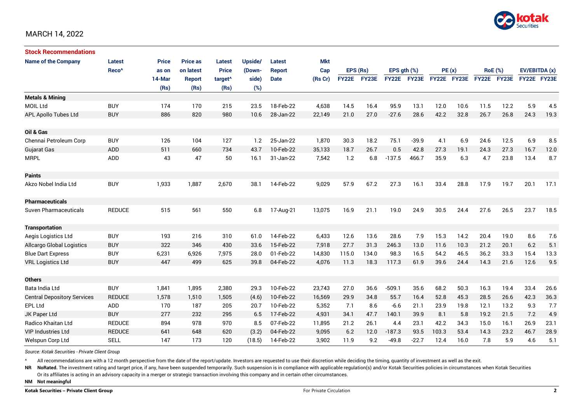

| <b>Stock Recommendations</b>       |                   |              |                 |                     |         |               |         |              |       |                  |             |             |      |                |             |               |      |
|------------------------------------|-------------------|--------------|-----------------|---------------------|---------|---------------|---------|--------------|-------|------------------|-------------|-------------|------|----------------|-------------|---------------|------|
| <b>Name of the Company</b>         | <b>Latest</b>     | <b>Price</b> | <b>Price as</b> | <b>Latest</b>       | Upside/ | Latest        | Mkt     |              |       |                  |             |             |      |                |             |               |      |
|                                    | Reco <sup>^</sup> | as on        | on latest       | <b>Price</b>        | (Down-  | <b>Report</b> | Cap     | EPS (Rs)     |       | EPS $qth$ $(\%)$ |             | PE(x)       |      | <b>RoE</b> (%) |             | EV/EBITDA (x) |      |
|                                    |                   | 14-Mar       | <b>Report</b>   | target <sup>^</sup> | side)   | <b>Date</b>   | (Rs Cr) | <b>FY22E</b> | FY23E |                  | FY22E FY23E | FY22E FY23E |      |                | FY22E FY23E | FY22E FY23E   |      |
|                                    |                   | (Rs)         | (Rs)            | (Rs)                | (%)     |               |         |              |       |                  |             |             |      |                |             |               |      |
| <b>Metals &amp; Mining</b>         |                   |              |                 |                     |         |               |         |              |       |                  |             |             |      |                |             |               |      |
| <b>MOIL Ltd</b>                    | <b>BUY</b>        | 174          | 170             | 215                 | 23.5    | 18-Feb-22     | 4,638   | 14.5         | 16.4  | 95.9             | 13.1        | 12.0        | 10.6 | 11.5           | 12.2        | 5.9           | 4.5  |
| <b>APL Apollo Tubes Ltd</b>        | <b>BUY</b>        | 886          | 820             | 980                 | 10.6    | 28-Jan-22     | 22,149  | 21.0         | 27.0  | $-27.6$          | 28.6        | 42.2        | 32.8 | 26.7           | 26.8        | 24.3          | 19.3 |
|                                    |                   |              |                 |                     |         |               |         |              |       |                  |             |             |      |                |             |               |      |
| Oil & Gas                          |                   |              |                 |                     |         |               |         |              |       |                  |             |             |      |                |             |               |      |
| Chennai Petroleum Corp             | <b>BUY</b>        | 126          | 104             | 127                 | 1.2     | 25-Jan-22     | 1,870   | 30.3         | 18.2  | 75.1             | $-39.9$     | 4.1         | 6.9  | 24.6           | 12.5        | 6.9           | 8.5  |
| <b>Gujarat Gas</b>                 | <b>ADD</b>        | 511          | 660             | 734                 | 43.7    | 10-Feb-22     | 35,133  | 18.7         | 26.7  | 0.5              | 42.8        | 27.3        | 19.1 | 24.3           | 27.3        | 16.7          | 12.0 |
| <b>MRPL</b>                        | ADD               | 43           | 47              | 50                  | 16.1    | 31-Jan-22     | 7,542   | 1.2          | 6.8   | $-137.5$         | 466.7       | 35.9        | 6.3  | 4.7            | 23.8        | 13.4          | 8.7  |
|                                    |                   |              |                 |                     |         |               |         |              |       |                  |             |             |      |                |             |               |      |
| <b>Paints</b>                      |                   |              |                 |                     |         |               |         |              |       |                  |             |             |      |                |             |               |      |
| Akzo Nobel India Ltd               | <b>BUY</b>        | 1,933        | 1,887           | 2,670               | 38.1    | 14-Feb-22     | 9,029   | 57.9         | 67.2  | 27.3             | 16.1        | 33.4        | 28.8 | 17.9           | 19.7        | 20.1          | 17.1 |
|                                    |                   |              |                 |                     |         |               |         |              |       |                  |             |             |      |                |             |               |      |
| <b>Pharmaceuticals</b>             |                   |              |                 |                     |         |               |         |              |       |                  |             |             |      |                |             |               |      |
| Suven Pharmaceuticals              | <b>REDUCE</b>     | 515          | 561             | 550                 | 6.8     | 17-Aug-21     | 13,075  | 16.9         | 21.1  | 19.0             | 24.9        | 30.5        | 24.4 | 27.6           | 26.5        | 23.7          | 18.5 |
|                                    |                   |              |                 |                     |         |               |         |              |       |                  |             |             |      |                |             |               |      |
| <b>Transportation</b>              |                   |              |                 |                     |         |               |         |              |       |                  |             |             |      |                |             |               |      |
| Aegis Logistics Ltd                | <b>BUY</b>        | 193          | 216             | 310                 | 61.0    | 14-Feb-22     | 6,433   | 12.6         | 13.6  | 28.6             | 7.9         | 15.3        | 14.2 | 20.4           | 19.0        | 8.6           | 7.6  |
| <b>Allcargo Global Logistics</b>   | <b>BUY</b>        | 322          | 346             | 430                 | 33.6    | 15-Feb-22     | 7,918   | 27.7         | 31.3  | 246.3            | 13.0        | 11.6        | 10.3 | 21.2           | 20.1        | 6.2           | 5.1  |
| <b>Blue Dart Express</b>           | <b>BUY</b>        | 6,231        | 6,926           | 7,975               | 28.0    | 01-Feb-22     | 14,830  | 115.0        | 134.0 | 98.3             | 16.5        | 54.2        | 46.5 | 36.2           | 33.3        | 15.4          | 13.3 |
| <b>VRL Logistics Ltd</b>           | <b>BUY</b>        | 447          | 499             | 625                 | 39.8    | 04-Feb-22     | 4,076   | 11.3         | 18.3  | 117.3            | 61.9        | 39.6        | 24.4 | 14.3           | 21.6        | 12.6          | 9.5  |
|                                    |                   |              |                 |                     |         |               |         |              |       |                  |             |             |      |                |             |               |      |
| <b>Others</b>                      |                   |              |                 |                     |         |               |         |              |       |                  |             |             |      |                |             |               |      |
| Bata India Ltd                     | <b>BUY</b>        | 1,841        | 1,895           | 2,380               | 29.3    | 10-Feb-22     | 23,743  | 27.0         | 36.6  | $-509.1$         | 35.6        | 68.2        | 50.3 | 16.3           | 19.4        | 33.4          | 26.6 |
| <b>Central Depository Services</b> | <b>REDUCE</b>     | 1,578        | 1,510           | 1,505               | (4.6)   | 10-Feb-22     | 16,569  | 29.9         | 34.8  | 55.7             | 16.4        | 52.8        | 45.3 | 28.5           | 26.6        | 42.3          | 36.3 |
| <b>EPL Ltd</b>                     | ADD               | 170          | 187             | 205                 | 20.7    | 10-Feb-22     | 5,352   | 7.1          | 8.6   | $-6.6$           | 21.1        | 23.9        | 19.8 | 12.1           | 13.2        | 9.3           | 7.7  |
| JK Paper Ltd                       | <b>BUY</b>        | 277          | 232             | 295                 | 6.5     | 17-Feb-22     | 4,931   | 34.1         | 47.7  | 140.1            | 39.9        | 8.1         | 5.8  | 19.2           | 21.5        | 7.2           | 4.9  |
| Radico Khaitan Ltd                 | <b>REDUCE</b>     | 894          | 978             | 970                 | 8.5     | 07-Feb-22     | 11,895  | 21.2         | 26.1  | 4.4              | 23.1        | 42.2        | 34.3 | 15.0           | 16.1        | 26.9          | 23.1 |
| <b>VIP Industries Ltd</b>          | <b>REDUCE</b>     | 641          | 648             | 620                 | (3.2)   | 04-Feb-22     | 9,095   | 6.2          | 12.0  | $-187.3$         | 93.5        | 103.3       | 53.4 | 14.3           | 23.2        | 46.7          | 28.9 |
| Welspun Corp Ltd                   | <b>SELL</b>       | 147          | 173             | 120                 | (18.5)  | 14-Feb-22     | 3,902   | 11.9         | 9.2   | $-49.8$          | $-22.7$     | 12.4        | 16.0 | 7.8            | 5.9         | 4.6           | 5.1  |

*Source: Kotak Securities - Private Client Group*

All recommendations are with a 12 month perspective from the date of the report/update. Investors are requested to use their discretion while deciding the timing, quantity of investment as well as the exit.

NR NoRated. The investment rating and target price, if any, have been suspended temporarily. Such suspension is in compliance with applicable regulation(s) and/or Kotak Securities policies in circumstances when Kotak Secur

Or its affiliates is acting in an advisory capacity in a merger or strategic transaction involving this company and in certain other circumstances.

**NM Not meaningful**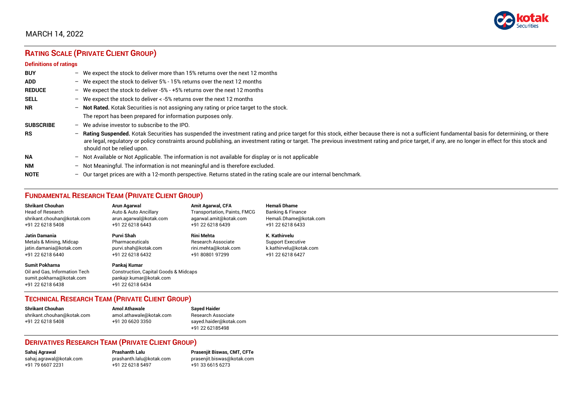

# **RATING SCALE (PRIVATE CLIENT GROUP)**

#### **Definitions of ratings**

| <b>BUY</b>       | - We expect the stock to deliver more than 15% returns over the next 12 months                                                                                                                                                                                                                                                                                                                                                     |
|------------------|------------------------------------------------------------------------------------------------------------------------------------------------------------------------------------------------------------------------------------------------------------------------------------------------------------------------------------------------------------------------------------------------------------------------------------|
| <b>ADD</b>       | - We expect the stock to deliver 5% - 15% returns over the next 12 months                                                                                                                                                                                                                                                                                                                                                          |
| <b>REDUCE</b>    | - We expect the stock to deliver -5% - +5% returns over the next 12 months                                                                                                                                                                                                                                                                                                                                                         |
| <b>SELL</b>      | - We expect the stock to deliver $\lt$ -5% returns over the next 12 months                                                                                                                                                                                                                                                                                                                                                         |
| <b>NR</b>        | - Not Rated. Kotak Securities is not assigning any rating or price target to the stock.                                                                                                                                                                                                                                                                                                                                            |
|                  | The report has been prepared for information purposes only.                                                                                                                                                                                                                                                                                                                                                                        |
| <b>SUBSCRIBE</b> | $-$ We advise investor to subscribe to the IPO.                                                                                                                                                                                                                                                                                                                                                                                    |
| <b>RS</b>        | - Rating Suspended. Kotak Securities has suspended the investment rating and price target for this stock, either because there is not a sufficient fundamental basis for determining, or there<br>are legal, regulatory or policy constraints around publishing, an investment rating or target. The previous investment rating and price target, if any, are no longer in effect for this stock and<br>should not be relied upon. |
| <b>NA</b>        | $-$ Not Available or Not Applicable. The information is not available for display or is not applicable                                                                                                                                                                                                                                                                                                                             |
| <b>NM</b>        | - Not Meaningful. The information is not meaningful and is therefore excluded.                                                                                                                                                                                                                                                                                                                                                     |
| <b>NOTE</b>      | $-$ Our target prices are with a 12-month perspective. Returns stated in the rating scale are our internal benchmark.                                                                                                                                                                                                                                                                                                              |

# **FUNDAMENTAL RESEARCH TEAM (PRIVATE CLIENT GROUP)**

| <b>Shrikant Chouhan</b>                                                                                | Arun Agarwal                                                                                                    | <b>Amit Agarwal, CFA</b>            | <b>Hemali Dhame</b>      |
|--------------------------------------------------------------------------------------------------------|-----------------------------------------------------------------------------------------------------------------|-------------------------------------|--------------------------|
| <b>Head of Research</b>                                                                                | Auto & Auto Ancillary                                                                                           | <b>Transportation, Paints, FMCG</b> | Banking & Finance        |
| shrikant.chouhan@kotak.com                                                                             | arun.agarwal@kotak.com                                                                                          | agarwal.amit@kotak.com              | Hemali.Dhame@kotak.com   |
| +91 22 6218 5408                                                                                       | +91 22 6218 6443                                                                                                | +91 22 6218 6439                    | +91 22 6218 6433         |
| Jatin Damania                                                                                          | Purvi Shah                                                                                                      | <b>Rini Mehta</b>                   | K. Kathirvelu            |
| Metals & Mining, Midcap                                                                                | Pharmaceuticals                                                                                                 | <b>Research Associate</b>           | <b>Support Executive</b> |
| jatin.damania@kotak.com                                                                                | purvi.shah@kotak.com                                                                                            | rini.mehta@kotak.com                | k.kathirvelu@kotak.com   |
| +91 22 6218 6440                                                                                       | +91 22 6218 6432                                                                                                | +91 80801 97299                     | +91 22 6218 6427         |
| <b>Sumit Pokharna</b><br>Oil and Gas, Information Tech<br>sumit.pokharna@kotak.com<br>+91 22 6218 6438 | Pankaj Kumar<br><b>Construction, Capital Goods &amp; Midcaps</b><br>pankajr.kumar@kotak.com<br>+91 22 6218 6434 |                                     |                          |

#### **TECHNICAL RESEARCH TEAM (PRIVATE CLIENT GROUP)**

| <b>Shrikant Chouhan</b>    | <b>Amol Athawale</b>    |  |
|----------------------------|-------------------------|--|
| shrikant.chouhan@kotak.com | amol.athawale@kotak.com |  |
| +91 22 6218 5408           | +91 20 6620 3350        |  |
|                            |                         |  |

**Sayed Haider** Research Associate [sayed.haider@kotak.com](mailto:sayed.haider@kotak.com) +91 22 62185498

#### **DERIVATIVES RESEARCH TEAM (PRIVATE CLIENT GROUP)**

+91 22 6218 5497 +91 33 6615 6273

**Sahaj Agrawal Prashanth Lalu Prasenjit Biswas, CMT, CFTe** [sahaj.agrawal@kotak.com](mailto:sahaj.agrawal@kotak.com) [prashanth.lalu@kotak.com](mailto:prashanth.lalu@kotak.com) [prasenjit.biswas@kotak.com](mailto:prasenjit.biswas@kotak.com)